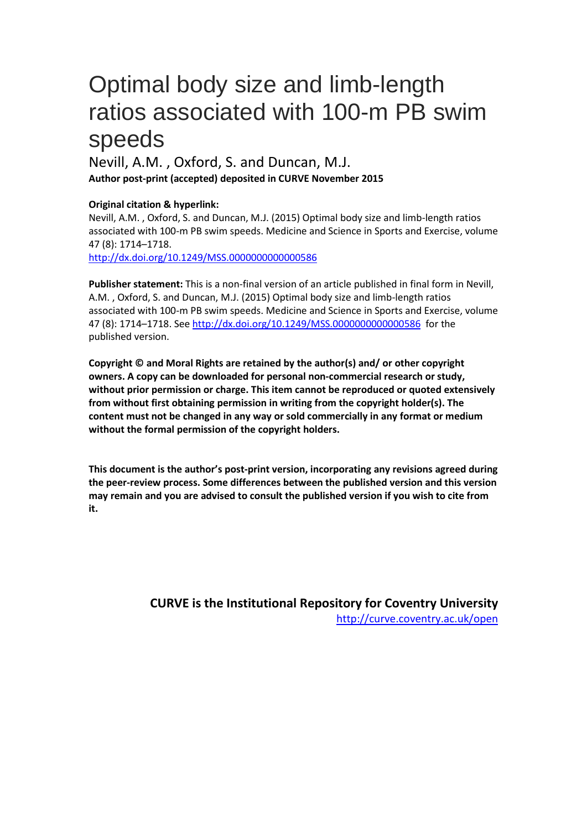# Optimal body size and limb-length ratios associated with 100-m PB swim speeds

# Nevill, A.M. , Oxford, S. and Duncan, M.J. **Author post-print (accepted) deposited in CURVE November 2015**

## **Original citation & hyperlink:**

Nevill, A.M. , Oxford, S. and Duncan, M.J. (2015) Optimal body size and limb-length ratios associated with 100-m PB swim speeds. Medicine and Science in Sports and Exercise, volume 47 (8): 1714–1718.

<http://dx.doi.org/10.1249/MSS.0000000000000586>

**Publisher statement:** This is a non-final version of an article published in final form in Nevill, A.M. , Oxford, S. and Duncan, M.J. (2015) Optimal body size and limb-length ratios associated with 100-m PB swim speeds. Medicine and Science in Sports and Exercise, volume 47 (8): 1714–1718. See<http://dx.doi.org/10.1249/MSS.0000000000000586> for the published version.

**Copyright © and Moral Rights are retained by the author(s) and/ or other copyright owners. A copy can be downloaded for personal non-commercial research or study, without prior permission or charge. This item cannot be reproduced or quoted extensively from without first obtaining permission in writing from the copyright holder(s). The content must not be changed in any way or sold commercially in any format or medium without the formal permission of the copyright holders.** 

**This document is the author's post-print version, incorporating any revisions agreed during the peer-review process. Some differences between the published version and this version may remain and you are advised to consult the published version if you wish to cite from it.** 

> **CURVE is the Institutional Repository for Coventry University** <http://curve.coventry.ac.uk/open>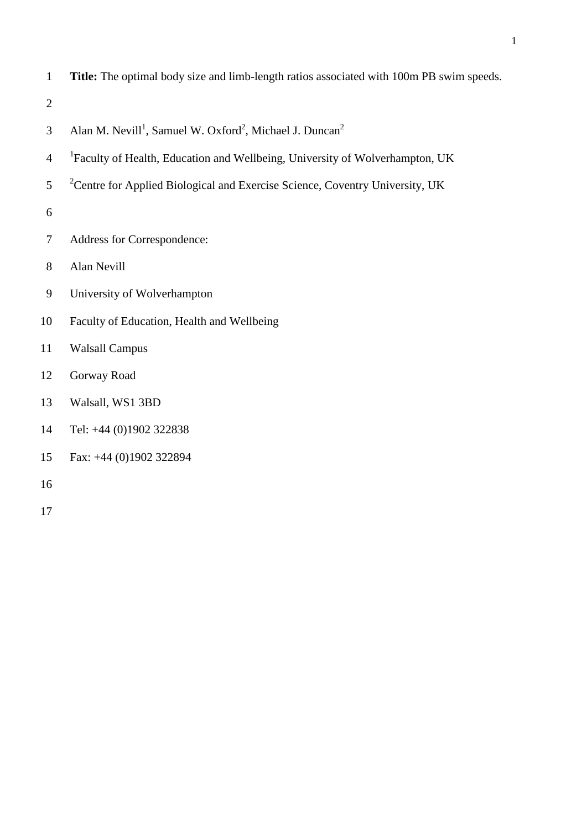**Title:** The optimal body size and limb-length ratios associated with 100m PB swim speeds.

- 3 Alan M. Nevill<sup>1</sup>, Samuel W. Oxford<sup>2</sup>, Michael J. Duncan<sup>2</sup>
- <sup>1</sup> Faculty of Health, Education and Wellbeing, University of Wolverhampton, UK
- $2^{\degree}$  <sup>2</sup> Centre for Applied Biological and Exercise Science, Coventry University, UK
- 
- Address for Correspondence:
- Alan Nevill
- University of Wolverhampton
- Faculty of Education, Health and Wellbeing
- Walsall Campus
- Gorway Road
- Walsall, WS1 3BD
- Tel: +44 (0)1902 322838
- Fax: +44 (0)1902 322894
-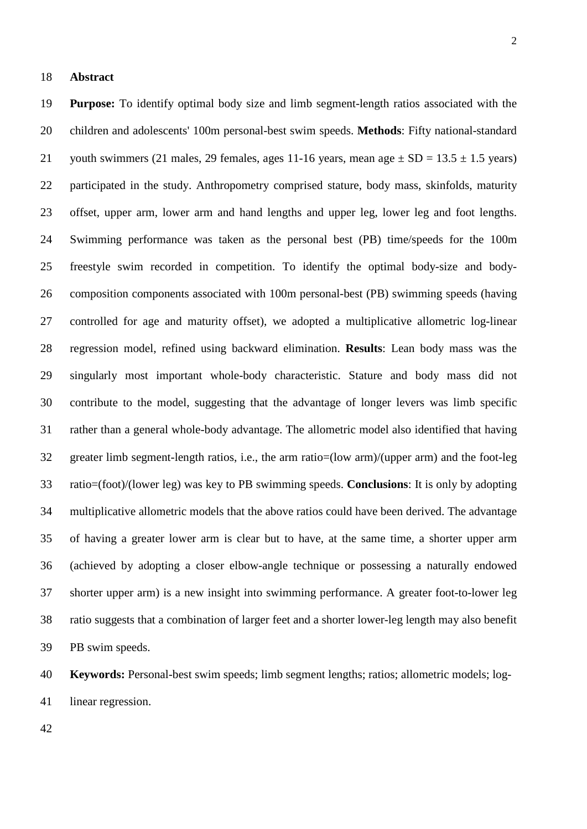#### **Abstract**

 **Purpose:** To identify optimal body size and limb segment-length ratios associated with the children and adolescents' 100m personal-best swim speeds. **Methods**: Fifty national-standard 21 youth swimmers (21 males, 29 females, ages 11-16 years, mean age  $\pm$  SD = 13.5  $\pm$  1.5 years) participated in the study. Anthropometry comprised stature, body mass, skinfolds, maturity offset, upper arm, lower arm and hand lengths and upper leg, lower leg and foot lengths. Swimming performance was taken as the personal best (PB) time/speeds for the 100m freestyle swim recorded in competition. To identify the optimal body-size and body- composition components associated with 100m personal-best (PB) swimming speeds (having controlled for age and maturity offset), we adopted a multiplicative allometric log-linear regression model, refined using backward elimination. **Results**: Lean body mass was the singularly most important whole-body characteristic. Stature and body mass did not contribute to the model, suggesting that the advantage of longer levers was limb specific rather than a general whole-body advantage. The allometric model also identified that having greater limb segment-length ratios, i.e., the arm ratio=(low arm)/(upper arm) and the foot-leg ratio=(foot)/(lower leg) was key to PB swimming speeds. **Conclusions**: It is only by adopting multiplicative allometric models that the above ratios could have been derived. The advantage of having a greater lower arm is clear but to have, at the same time, a shorter upper arm (achieved by adopting a closer elbow-angle technique or possessing a naturally endowed shorter upper arm) is a new insight into swimming performance. A greater foot-to-lower leg ratio suggests that a combination of larger feet and a shorter lower-leg length may also benefit PB swim speeds.

**Keywords:** Personal-best swim speeds; limb segment lengths; ratios; allometric models; log-

linear regression.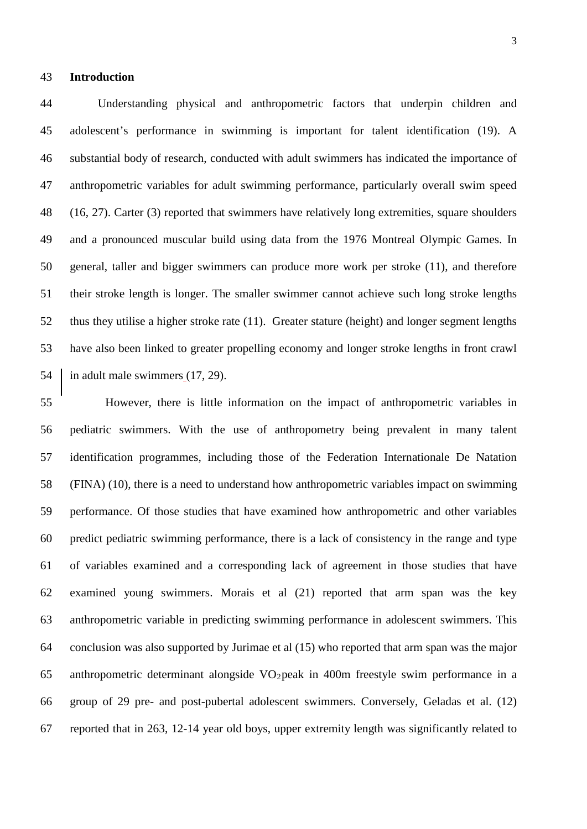#### **Introduction**

 Understanding physical and anthropometric factors that underpin children and adolescent's performance in swimming is important for talent identification (19). A substantial body of research, conducted with adult swimmers has indicated the importance of anthropometric variables for adult swimming performance, particularly overall swim speed (16, 27). Carter (3) reported that swimmers have relatively long extremities, square shoulders and a pronounced muscular build using data from the 1976 Montreal Olympic Games. In general, taller and bigger swimmers can produce more work per stroke (11), and therefore their stroke length is longer. The smaller swimmer cannot achieve such long stroke lengths thus they utilise a higher stroke rate (11). Greater stature (height) and longer segment lengths have also been linked to greater propelling economy and longer stroke lengths in front crawl 54 in adult male swimmers (17, 29).

 However, there is little information on the impact of anthropometric variables in pediatric swimmers. With the use of anthropometry being prevalent in many talent identification programmes, including those of the Federation Internationale De Natation (FINA) (10), there is a need to understand how anthropometric variables impact on swimming performance. Of those studies that have examined how anthropometric and other variables predict pediatric swimming performance, there is a lack of consistency in the range and type of variables examined and a corresponding lack of agreement in those studies that have examined young swimmers. Morais et al (21) reported that arm span was the key anthropometric variable in predicting swimming performance in adolescent swimmers. This conclusion was also supported by Jurimae et al (15) who reported that arm span was the major 65 anthropometric determinant alongside  $VO<sub>2</sub>$  peak in 400m freestyle swim performance in a group of 29 pre- and post-pubertal adolescent swimmers. Conversely, Geladas et al. (12) reported that in 263, 12-14 year old boys, upper extremity length was significantly related to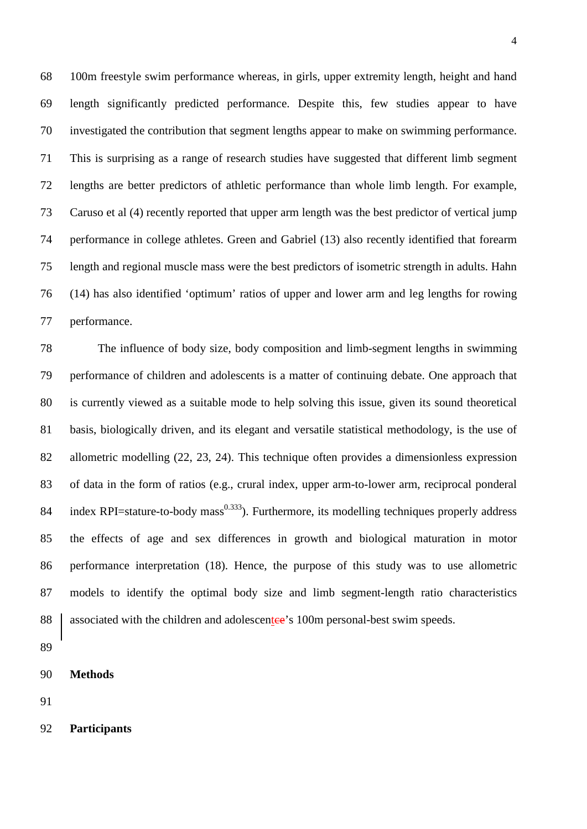100m freestyle swim performance whereas, in girls, upper extremity length, height and hand length significantly predicted performance. Despite this, few studies appear to have investigated the contribution that segment lengths appear to make on swimming performance. This is surprising as a range of research studies have suggested that different limb segment lengths are better predictors of athletic performance than whole limb length. For example, Caruso et al (4) recently reported that upper arm length was the best predictor of vertical jump performance in college athletes. Green and Gabriel (13) also recently identified that forearm length and regional muscle mass were the best predictors of isometric strength in adults. Hahn (14) has also identified 'optimum' ratios of upper and lower arm and leg lengths for rowing performance.

 The influence of body size, body composition and limb-segment lengths in swimming performance of children and adolescents is a matter of continuing debate. One approach that is currently viewed as a suitable mode to help solving this issue, given its sound theoretical basis, biologically driven, and its elegant and versatile statistical methodology, is the use of allometric modelling (22, 23, 24). This technique often provides a dimensionless expression of data in the form of ratios (e.g., crural index, upper arm-to-lower arm, reciprocal ponderal 84 index RPI=stature-to-body mass<sup>0.333</sup>). Furthermore, its modelling techniques properly address the effects of age and sex differences in growth and biological maturation in motor performance interpretation (18). Hence, the purpose of this study was to use allometric models to identify the optimal body size and limb segment-length ratio characteristics 88 associated with the children and adolescentee's 100m personal-best swim speeds.

**Participants**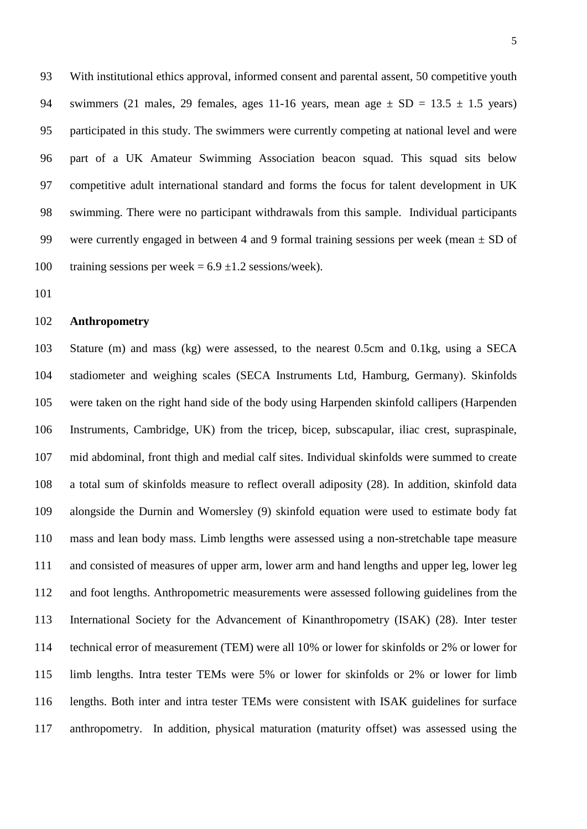With institutional ethics approval, informed consent and parental assent, 50 competitive youth 94 swimmers (21 males, 29 females, ages 11-16 years, mean age  $\pm$  SD = 13.5  $\pm$  1.5 years) participated in this study. The swimmers were currently competing at national level and were part of a UK Amateur Swimming Association beacon squad. This squad sits below competitive adult international standard and forms the focus for talent development in UK swimming. There were no participant withdrawals from this sample. Individual participants 99 were currently engaged in between 4 and 9 formal training sessions per week (mean  $\pm$  SD of 100 training sessions per week =  $6.9 \pm 1.2$  sessions/week).

#### **Anthropometry**

 Stature (m) and mass (kg) were assessed, to the nearest 0.5cm and 0.1kg, using a SECA stadiometer and weighing scales (SECA Instruments Ltd, Hamburg, Germany). Skinfolds were taken on the right hand side of the body using Harpenden skinfold callipers (Harpenden Instruments, Cambridge, UK) from the tricep, bicep, subscapular, iliac crest, supraspinale, mid abdominal, front thigh and medial calf sites. Individual skinfolds were summed to create a total sum of skinfolds measure to reflect overall adiposity (28). In addition, skinfold data alongside the Durnin and Womersley (9) skinfold equation were used to estimate body fat mass and lean body mass. Limb lengths were assessed using a non-stretchable tape measure and consisted of measures of upper arm, lower arm and hand lengths and upper leg, lower leg and foot lengths. Anthropometric measurements were assessed following guidelines from the International Society for the Advancement of Kinanthropometry (ISAK) (28). Inter tester technical error of measurement (TEM) were all 10% or lower for skinfolds or 2% or lower for limb lengths. Intra tester TEMs were 5% or lower for skinfolds or 2% or lower for limb lengths. Both inter and intra tester TEMs were consistent with ISAK guidelines for surface anthropometry. In addition, physical maturation (maturity offset) was assessed using the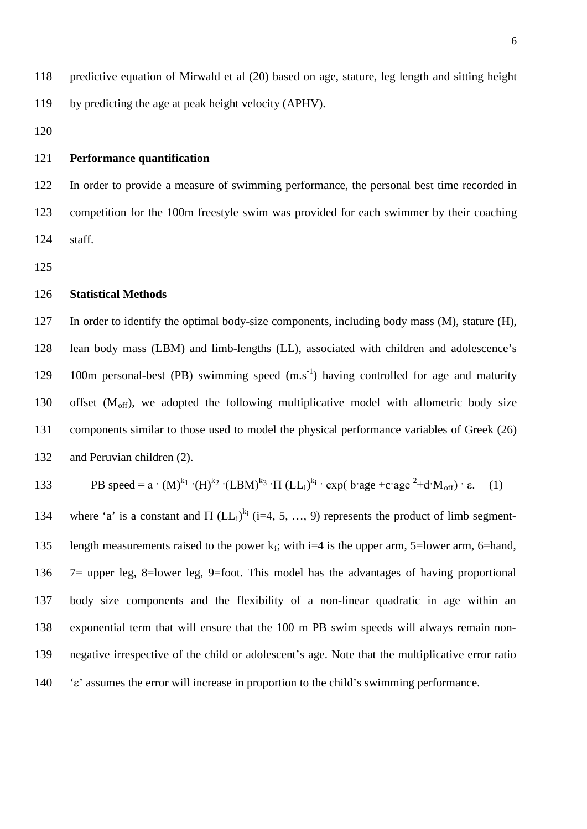predictive equation of Mirwald et al (20) based on age, stature, leg length and sitting height by predicting the age at peak height velocity (APHV).

## **Performance quantification**

 In order to provide a measure of swimming performance, the personal best time recorded in competition for the 100m freestyle swim was provided for each swimmer by their coaching staff.

## **Statistical Methods**

 In order to identify the optimal body-size components, including body mass (M), stature (H), lean body mass (LBM) and limb-lengths (LL), associated with children and adolescence's 129 100m personal-best (PB) swimming speed  $(m.s<sup>-1</sup>)$  having controlled for age and maturity 130 offset  $(M<sub>off</sub>)$ , we adopted the following multiplicative model with allometric body size components similar to those used to model the physical performance variables of Greek (26) and Peruvian children (2).

133 PB speed = 
$$
a \cdot (M)^{k_1} \cdot (H)^{k_2} \cdot (LBM)^{k_3} \cdot \Pi (LL_i)^{k_i} \cdot \exp(b \cdot \text{age} + c \cdot \text{age}^2 + d \cdot M_{off}) \cdot \varepsilon.
$$
 (1)

134 where 'a' is a constant and  $\Pi$  (LL<sub>i</sub>)<sup>k<sub>i</sub></sup> (i=4, 5, ..., 9) represents the product of limb segment-135 length measurements raised to the power  $k_i$ ; with i=4 is the upper arm, 5=lower arm, 6=hand, 7= upper leg, 8=lower leg, 9=foot. This model has the advantages of having proportional body size components and the flexibility of a non-linear quadratic in age within an exponential term that will ensure that the 100 m PB swim speeds will always remain non- negative irrespective of the child or adolescent's age. Note that the multiplicative error ratio 'ε' assumes the error will increase in proportion to the child's swimming performance.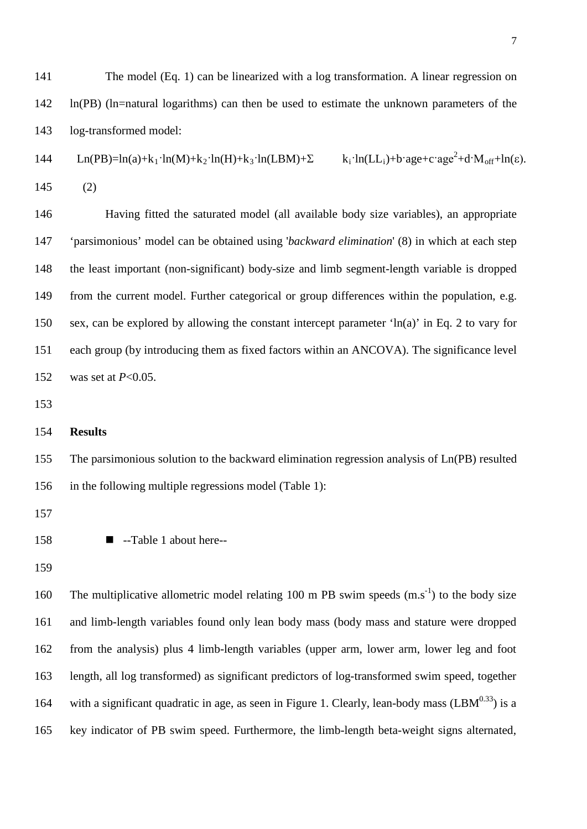The model (Eq. 1) can be linearized with a log transformation. A linear regression on ln(PB) (ln=natural logarithms) can then be used to estimate the unknown parameters of the log-transformed model:  $L_n(PB)=ln(a)+k_1\cdot ln(M)+k_2\cdot ln(H)+k_3\cdot ln(LBM)+\Sigma$   $k_i\cdot ln(LL_i)+b\cdot age+c\cdot age^2+d\cdot M_{off}+ln(\epsilon).$ 145 (2) Having fitted the saturated model (all available body size variables), an appropriate 'parsimonious' model can be obtained using '*backward elimination*' (8) in which at each step the least important (non-significant) body-size and limb segment-length variable is dropped from the current model. Further categorical or group differences within the population, e.g. sex, can be explored by allowing the constant intercept parameter 'ln(a)' in Eq. 2 to vary for each group (by introducing them as fixed factors within an ANCOVA). The significance level was set at *P*<0.05. **Results** The parsimonious solution to the backward elimination regression analysis of Ln(PB) resulted

in the following multiple regressions model (Table 1):

- --Table 1 about here--
- 

160 The multiplicative allometric model relating 100 m PB swim speeds  $(m.s<sup>-1</sup>)$  to the body size and limb-length variables found only lean body mass (body mass and stature were dropped from the analysis) plus 4 limb-length variables (upper arm, lower arm, lower leg and foot length, all log transformed) as significant predictors of log-transformed swim speed, together 164 with a significant quadratic in age, as seen in Figure 1. Clearly, lean-body mass  $(LBM^{0.33})$  is a key indicator of PB swim speed. Furthermore, the limb-length beta-weight signs alternated,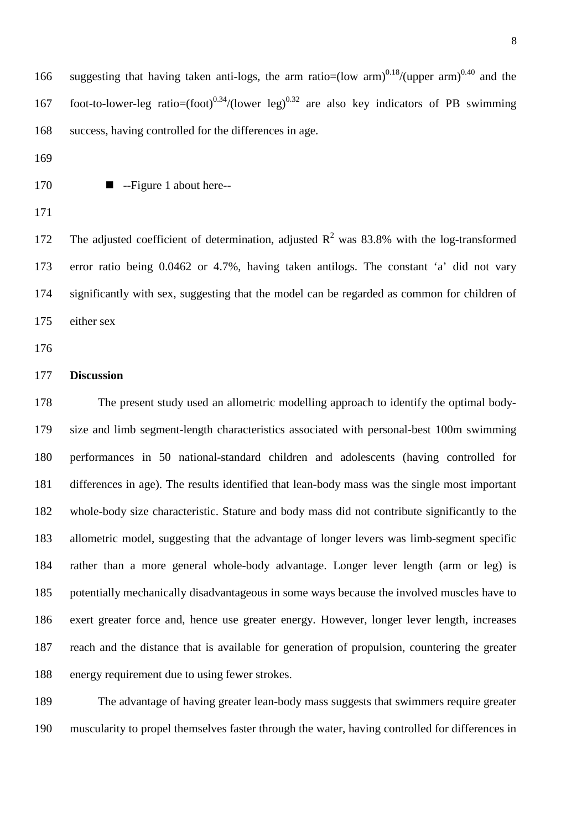166 suggesting that having taken anti-logs, the arm ratio=(low arm)<sup>0.18</sup>/(upper arm)<sup>0.40</sup> and the 167 foot-to-lower-leg ratio= $(foot)^{0.34}/(lower leg)^{0.32}$  are also key indicators of PB swimming success, having controlled for the differences in age.

--Figure 1 about here--

172 The adjusted coefficient of determination, adjusted  $R^2$  was 83.8% with the log-transformed error ratio being 0.0462 or 4.7%, having taken antilogs. The constant 'a' did not vary significantly with sex, suggesting that the model can be regarded as common for children of either sex

## **Discussion**

 The present study used an allometric modelling approach to identify the optimal body- size and limb segment-length characteristics associated with personal-best 100m swimming performances in 50 national-standard children and adolescents (having controlled for differences in age). The results identified that lean-body mass was the single most important whole-body size characteristic. Stature and body mass did not contribute significantly to the allometric model, suggesting that the advantage of longer levers was limb-segment specific rather than a more general whole-body advantage. Longer lever length (arm or leg) is potentially mechanically disadvantageous in some ways because the involved muscles have to exert greater force and, hence use greater energy. However, longer lever length, increases reach and the distance that is available for generation of propulsion, countering the greater energy requirement due to using fewer strokes.

 The advantage of having greater lean-body mass suggests that swimmers require greater muscularity to propel themselves faster through the water, having controlled for differences in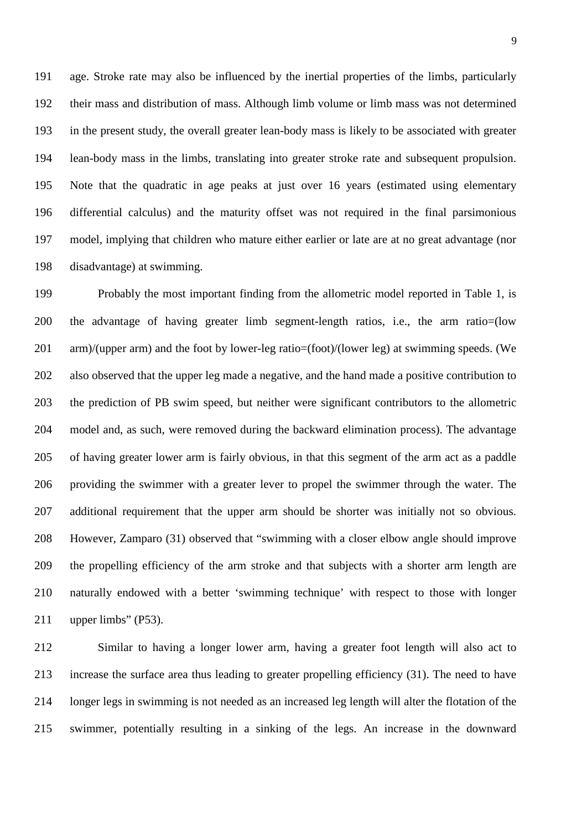age. Stroke rate may also be influenced by the inertial properties of the limbs, particularly their mass and distribution of mass. Although limb volume or limb mass was not determined in the present study, the overall greater lean-body mass is likely to be associated with greater lean-body mass in the limbs, translating into greater stroke rate and subsequent propulsion. Note that the quadratic in age peaks at just over 16 years (estimated using elementary differential calculus) and the maturity offset was not required in the final parsimonious model, implying that children who mature either earlier or late are at no great advantage (nor disadvantage) at swimming.

 Probably the most important finding from the allometric model reported in Table 1, is the advantage of having greater limb segment-length ratios, i.e., the arm ratio=(low arm)/(upper arm) and the foot by lower-leg ratio=(foot)/(lower leg) at swimming speeds. (We also observed that the upper leg made a negative, and the hand made a positive contribution to the prediction of PB swim speed, but neither were significant contributors to the allometric model and, as such, were removed during the backward elimination process). The advantage of having greater lower arm is fairly obvious, in that this segment of the arm act as a paddle providing the swimmer with a greater lever to propel the swimmer through the water. The additional requirement that the upper arm should be shorter was initially not so obvious. However, Zamparo (31) observed that "swimming with a closer elbow angle should improve the propelling efficiency of the arm stroke and that subjects with a shorter arm length are naturally endowed with a better 'swimming technique' with respect to those with longer upper limbs" (P53).

 Similar to having a longer lower arm, having a greater foot length will also act to increase the surface area thus leading to greater propelling efficiency (31). The need to have longer legs in swimming is not needed as an increased leg length will alter the flotation of the swimmer, potentially resulting in a sinking of the legs. An increase in the downward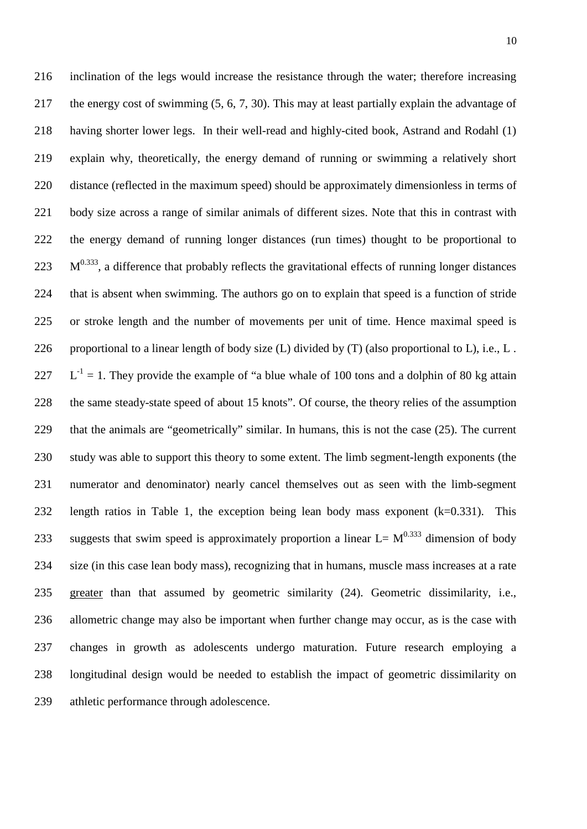inclination of the legs would increase the resistance through the water; therefore increasing the energy cost of swimming (5, 6, 7, 30). This may at least partially explain the advantage of having shorter lower legs. In their well-read and highly-cited book, Astrand and Rodahl (1) explain why, theoretically, the energy demand of running or swimming a relatively short distance (reflected in the maximum speed) should be approximately dimensionless in terms of body size across a range of similar animals of different sizes. Note that this in contrast with the energy demand of running longer distances (run times) thought to be proportional to  $223 \text{ M}^{0.333}$ , a difference that probably reflects the gravitational effects of running longer distances that is absent when swimming. The authors go on to explain that speed is a function of stride or stroke length and the number of movements per unit of time. Hence maximal speed is 226 proportional to a linear length of body size  $(L)$  divided by  $(T)$  (also proportional to  $L$ ), i.e.,  $L$ .  $L^{-1} = 1$ . They provide the example of "a blue whale of 100 tons and a dolphin of 80 kg attain the same steady-state speed of about 15 knots". Of course, the theory relies of the assumption that the animals are "geometrically" similar. In humans, this is not the case (25). The current study was able to support this theory to some extent. The limb segment-length exponents (the numerator and denominator) nearly cancel themselves out as seen with the limb-segment length ratios in Table 1, the exception being lean body mass exponent (k=0.331). This 233 suggests that swim speed is approximately proportion a linear  $L = M^{0.333}$  dimension of body size (in this case lean body mass), recognizing that in humans, muscle mass increases at a rate greater than that assumed by geometric similarity (24). Geometric dissimilarity, i.e., allometric change may also be important when further change may occur, as is the case with changes in growth as adolescents undergo maturation. Future research employing a longitudinal design would be needed to establish the impact of geometric dissimilarity on athletic performance through adolescence.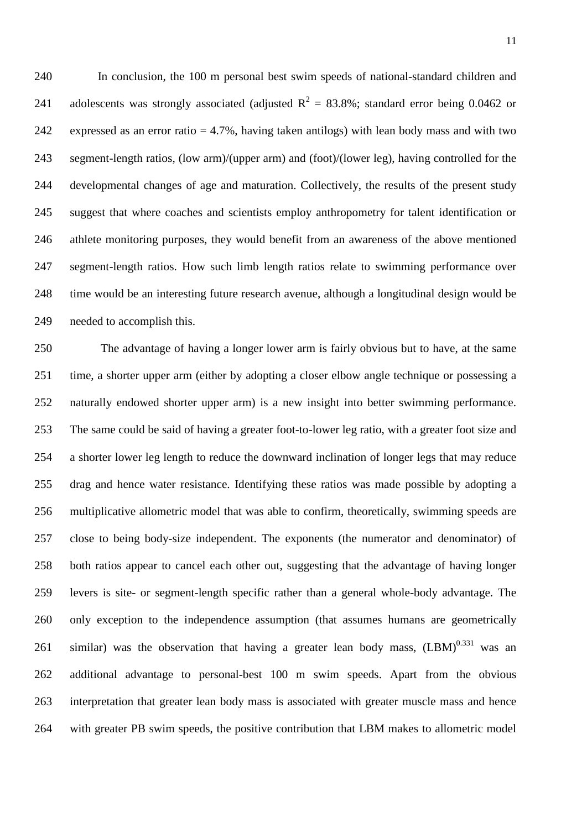In conclusion, the 100 m personal best swim speeds of national-standard children and 241 adolescents was strongly associated (adjusted  $R^2 = 83.8\%$ ; standard error being 0.0462 or expressed as an error ratio = 4.7%, having taken antilogs) with lean body mass and with two segment-length ratios, (low arm)/(upper arm) and (foot)/(lower leg), having controlled for the developmental changes of age and maturation. Collectively, the results of the present study suggest that where coaches and scientists employ anthropometry for talent identification or athlete monitoring purposes, they would benefit from an awareness of the above mentioned segment-length ratios. How such limb length ratios relate to swimming performance over time would be an interesting future research avenue, although a longitudinal design would be needed to accomplish this.

 The advantage of having a longer lower arm is fairly obvious but to have, at the same time, a shorter upper arm (either by adopting a closer elbow angle technique or possessing a naturally endowed shorter upper arm) is a new insight into better swimming performance. The same could be said of having a greater foot-to-lower leg ratio, with a greater foot size and a shorter lower leg length to reduce the downward inclination of longer legs that may reduce drag and hence water resistance. Identifying these ratios was made possible by adopting a multiplicative allometric model that was able to confirm, theoretically, swimming speeds are close to being body-size independent. The exponents (the numerator and denominator) of both ratios appear to cancel each other out, suggesting that the advantage of having longer levers is site- or segment-length specific rather than a general whole-body advantage. The only exception to the independence assumption (that assumes humans are geometrically 261 similar) was the observation that having a greater lean body mass,  $(LBM)^{0.331}$  was an additional advantage to personal-best 100 m swim speeds. Apart from the obvious interpretation that greater lean body mass is associated with greater muscle mass and hence with greater PB swim speeds, the positive contribution that LBM makes to allometric model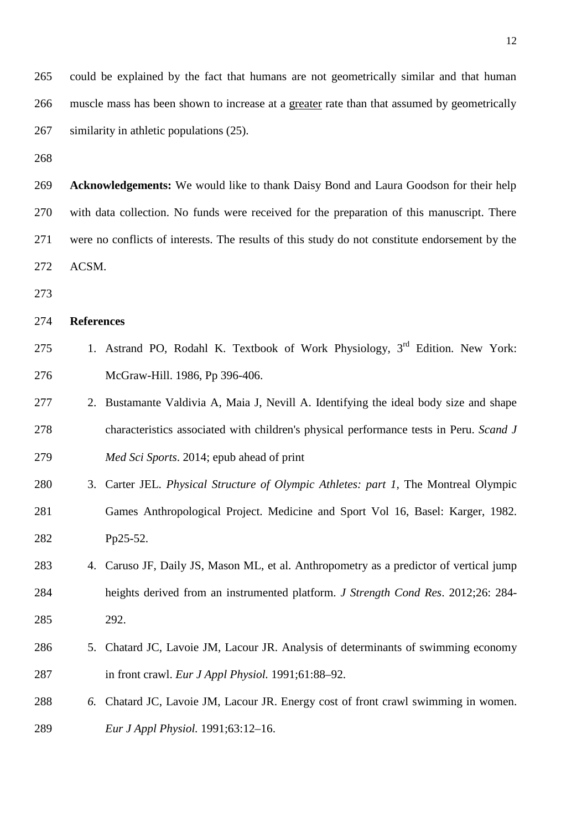could be explained by the fact that humans are not geometrically similar and that human muscle mass has been shown to increase at a greater rate than that assumed by geometrically similarity in athletic populations (25).

 **Acknowledgements:** We would like to thank Daisy Bond and Laura Goodson for their help with data collection. No funds were received for the preparation of this manuscript. There were no conflicts of interests. The results of this study do not constitute endorsement by the ACSM.

#### **References**

- 275 1. Astrand PO, Rodahl K. Textbook of Work Physiology, 3<sup>rd</sup> Edition. New York: McGraw-Hill. 1986, Pp 396-406.
- 2. Bustamante Valdivia A, Maia J, Nevill A. Identifying the ideal body size and shape characteristics associated with children's physical performance tests in Peru. *Scand J Med Sci Sports*. 2014; epub ahead of print
- 3. Carter JEL. *Physical Structure of Olympic Athletes: part 1,* The Montreal Olympic Games Anthropological Project. Medicine and Sport Vol 16, Basel: Karger, 1982. Pp25-52.
- 4. [Caruso JF,](http://www.ncbi.nlm.nih.gov/pubmed?term=Caruso%20JF%5BAuthor%5D&cauthor=true&cauthor_uid=22090004) [Daily JS,](http://www.ncbi.nlm.nih.gov/pubmed?term=Daily%20JS%5BAuthor%5D&cauthor=true&cauthor_uid=22090004) [Mason ML,](http://www.ncbi.nlm.nih.gov/pubmed?term=Mason%20ML%5BAuthor%5D&cauthor=true&cauthor_uid=22090004) et al. Anthropometry as a predictor of vertical jump heights derived from an instrumented platform. *J Strength Cond Res*. 2012;26: 284- 292.
- 5. Chatard JC, Lavoie JM, Lacour JR. Analysis of determinants of swimming economy in front crawl. *Eur J Appl Physiol.* 1991;61:88–92.
- *6.* Chatard JC, Lavoie JM, Lacour JR. Energy cost of front crawl swimming in women. *Eur J Appl Physiol.* 1991;63:12–16.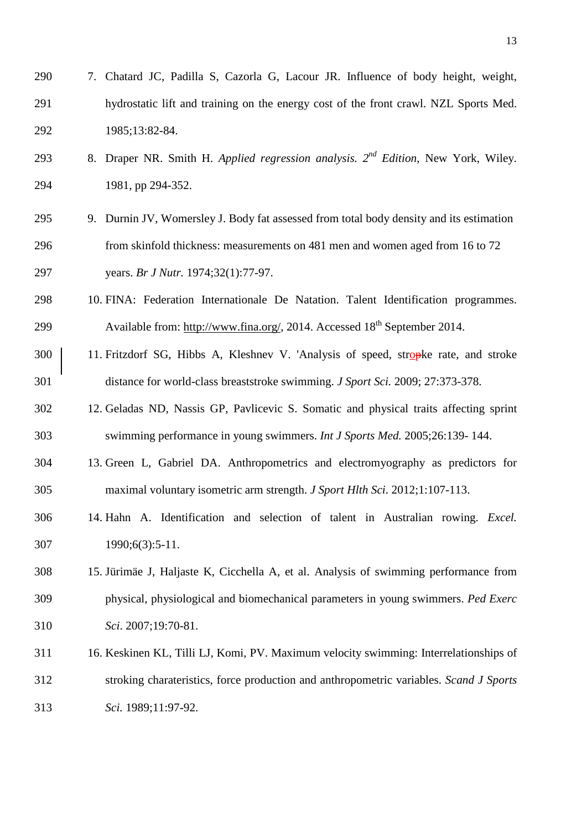| 290 | 7. Chatard JC, Padilla S, Cazorla G, Lacour JR. Influence of body height, weight,       |
|-----|-----------------------------------------------------------------------------------------|
| 291 | hydrostatic lift and training on the energy cost of the front crawl. NZL Sports Med.    |
| 292 | 1985;13:82-84.                                                                          |
| 293 | 8. Draper NR. Smith H. Applied regression analysis. $2^{nd}$ Edition, New York, Wiley.  |
| 294 | 1981, pp 294-352.                                                                       |
| 295 | 9. Durnin JV, Womersley J. Body fat assessed from total body density and its estimation |
| 296 | from skinfold thickness: measurements on 481 men and women aged from 16 to 72           |
| 297 | years. Br J Nutr. 1974;32(1):77-97.                                                     |
| 298 | 10. FINA: Federation Internationale De Natation. Talent Identification programmes.      |
| 299 | Available from: http://www.fina.org/, 2014. Accessed 18 <sup>th</sup> September 2014.   |
| 300 | 11. Fritzdorf SG, Hibbs A, Kleshnev V. 'Analysis of speed, stropke rate, and stroke     |
| 301 | distance for world-class breaststroke swimming. <i>J Sport Sci.</i> 2009; 27:373-378.   |
| 302 | 12. Geladas ND, Nassis GP, Pavlicevic S. Somatic and physical traits affecting sprint   |
| 303 | swimming performance in young swimmers. Int J Sports Med. 2005;26:139-144.              |
| 304 | 13. Green L, Gabriel DA. Anthropometrics and electromyography as predictors for         |
| 305 | maximal voluntary isometric arm strength. J Sport Hlth Sci. 2012;1:107-113.             |
| 306 | 14. Hahn A. Identification and selection of talent in Australian rowing. Excel.         |
| 307 | 1990;6(3):5-11.                                                                         |
| 308 | 15. Jürimäe J, Haljaste K, Cicchella A, et al. Analysis of swimming performance from    |
| 309 | physical, physiological and biomechanical parameters in young swimmers. Ped Exerc       |
| 310 | Sci. 2007;19:70-81.                                                                     |
| 311 | 16. Keskinen KL, Tilli LJ, Komi, PV. Maximum velocity swimming: Interrelationships of   |
| 312 | stroking charateristics, force production and anthropometric variables. Scand J Sports  |
| 313 | Sci. 1989;11:97-92.                                                                     |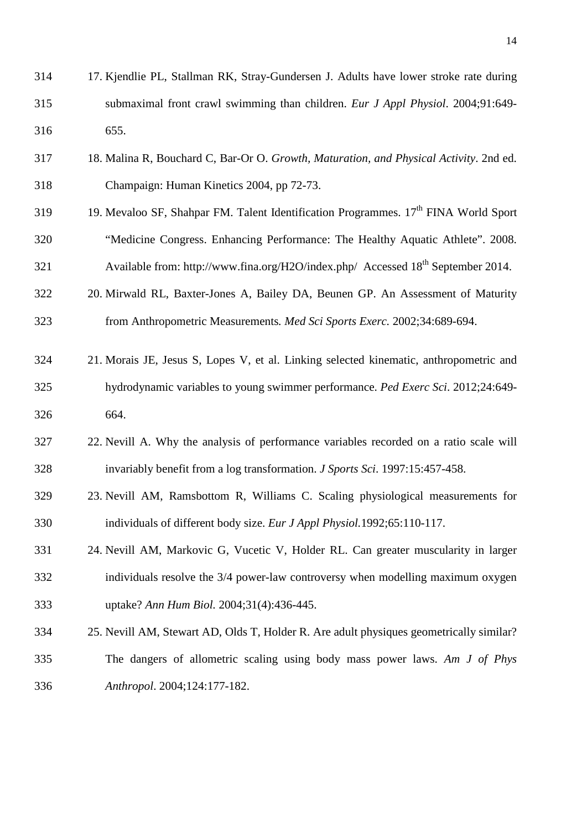| 314 | 17. Kjendlie PL, Stallman RK, Stray-Gundersen J. Adults have lower stroke rate during           |
|-----|-------------------------------------------------------------------------------------------------|
| 315 | submaximal front crawl swimming than children. Eur J Appl Physiol. 2004;91:649-                 |
| 316 | 655.                                                                                            |
| 317 | 18. Malina R, Bouchard C, Bar-Or O. Growth, Maturation, and Physical Activity. 2nd ed.          |
| 318 | Champaign: Human Kinetics 2004, pp 72-73.                                                       |
| 319 | 19. Mevaloo SF, Shahpar FM. Talent Identification Programmes. 17 <sup>th</sup> FINA World Sport |
| 320 | "Medicine Congress. Enhancing Performance: The Healthy Aquatic Athlete". 2008.                  |
| 321 | Available from: http://www.fina.org/H2O/index.php/ Accessed 18 <sup>th</sup> September 2014.    |
| 322 | 20. Mirwald RL, Baxter-Jones A, Bailey DA, Beunen GP. An Assessment of Maturity                 |
| 323 | from Anthropometric Measurements. Med Sci Sports Exerc. 2002;34:689-694.                        |
| 324 | 21. Morais JE, Jesus S, Lopes V, et al. Linking selected kinematic, anthropometric and          |
| 325 | hydrodynamic variables to young swimmer performance. Ped Exerc Sci. 2012;24:649-                |
| 326 | 664.                                                                                            |
| 327 | 22. Nevill A. Why the analysis of performance variables recorded on a ratio scale will          |
| 328 | invariably benefit from a log transformation. J Sports Sci. 1997:15:457-458.                    |
| 329 | 23. Nevill AM, Ramsbottom R, Williams C. Scaling physiological measurements for                 |
| 330 | individuals of different body size. Eur J Appl Physiol.1992;65:110-117.                         |
| 331 | 24. Nevill AM, Markovic G, Vucetic V, Holder RL. Can greater muscularity in larger              |
| 332 | individuals resolve the 3/4 power-law controversy when modelling maximum oxygen                 |
| 333 | uptake? Ann Hum Biol. 2004;31(4):436-445.                                                       |
| 334 | 25. Nevill AM, Stewart AD, Olds T, Holder R. Are adult physiques geometrically similar?         |

 The dangers of allometric scaling using body mass power laws. *Am J of Phys Anthropol*. 2004;124:177-182.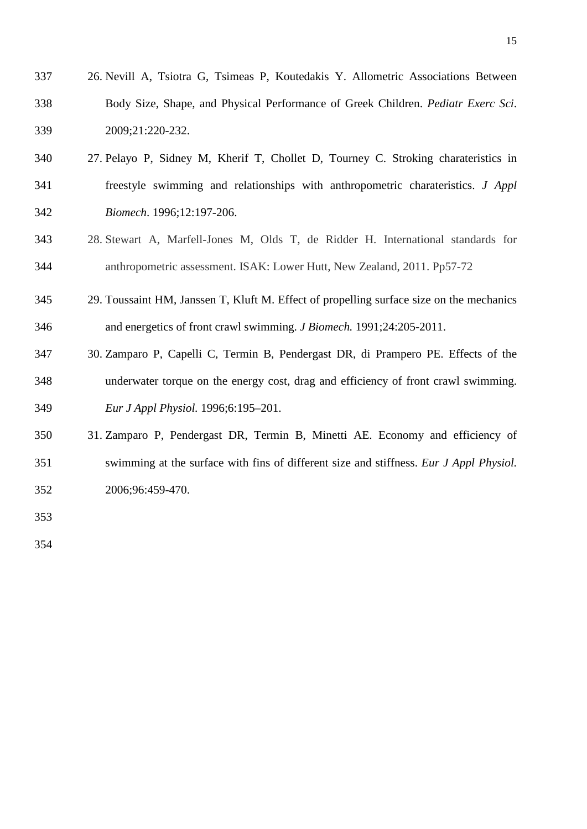- 26. Nevill A, Tsiotra G, Tsimeas P, Koutedakis Y. Allometric Associations Between Body Size, Shape, and Physical Performance of Greek Children. *Pediatr Exerc Sci*. 2009;21:220-232.
- 27. Pelayo P, Sidney M, Kherif T, Chollet D, Tourney C. Stroking charateristics in freestyle swimming and relationships with anthropometric charateristics. *J Appl Biomech*. 1996;12:197-206.
- 28. Stewart A, Marfell-Jones M, Olds T, de Ridder H. International standards for anthropometric assessment. ISAK: Lower Hutt, New Zealand, 2011. Pp57-72
- 29. Toussaint HM, Janssen T, Kluft M. Effect of propelling surface size on the mechanics and energetics of front crawl swimming. *J Biomech.* 1991;24:205-2011.
- 30. Zamparo P, Capelli C, Termin B, Pendergast DR, di Prampero PE. Effects of the underwater torque on the energy cost, drag and efficiency of front crawl swimming. *Eur J Appl Physiol.* 1996;6:195–201.
- 31. Zamparo P, Pendergast DR, Termin B, Minetti AE. Economy and efficiency of swimming at the surface with fins of different size and stiffness. *Eur J Appl Physiol.* 2006;96:459-470.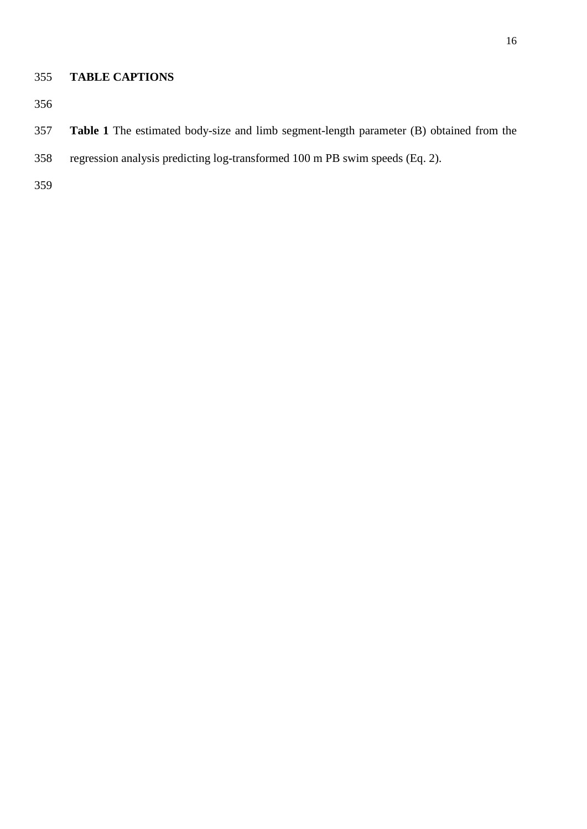# **TABLE CAPTIONS**

- **Table 1** The estimated body-size and limb segment-length parameter (B) obtained from the
- regression analysis predicting log-transformed 100 m PB swim speeds (Eq. 2).